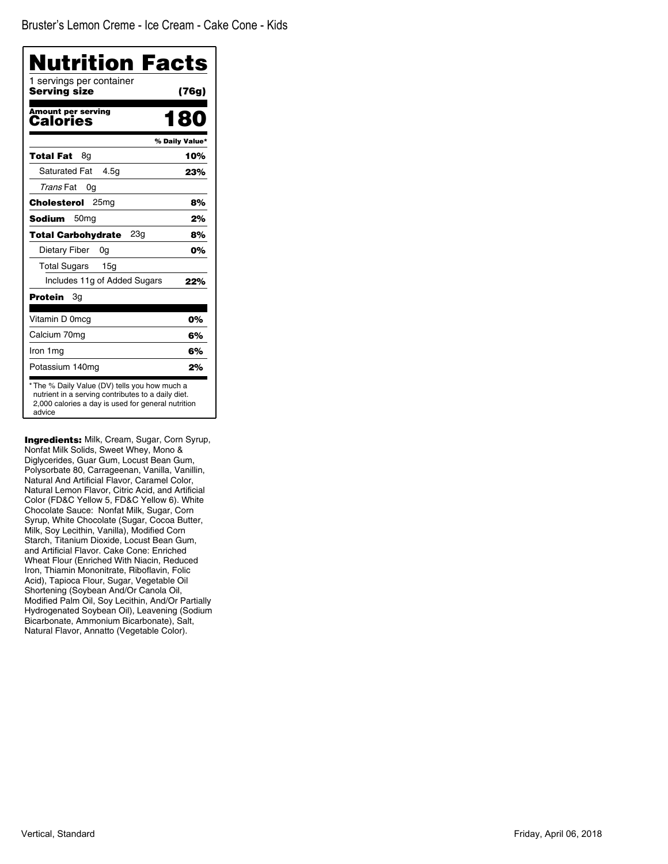| 1 servings per container<br>Serving size     | (76g)          |
|----------------------------------------------|----------------|
| <b>Amount per serving</b><br>Calories        | 180            |
|                                              | % Daily Value* |
| Total Fat<br>8q                              | 10%            |
| <b>Saturated Fat</b><br>4.5g                 | 23%            |
| Trans Fat<br>0g                              |                |
| Cholesterol<br>25 <sub>mg</sub>              | 8%             |
| <b>Sodium</b><br>50 <sub>mq</sub>            | 2%             |
| 23 <sub>q</sub><br><b>Total Carbohydrate</b> | 8%             |
| Dietary Fiber<br>0g                          | 0%             |
| <b>Total Sugars</b><br>15 <sub>q</sub>       |                |
| Includes 11g of Added Sugars                 | 22%            |
| Protein<br>3g                                |                |
| Vitamin D 0mcg                               | 0%             |
| Calcium 70mg                                 | 6%             |
| Iron 1mg                                     | 6%             |
| Potassium 140mg                              | 2%             |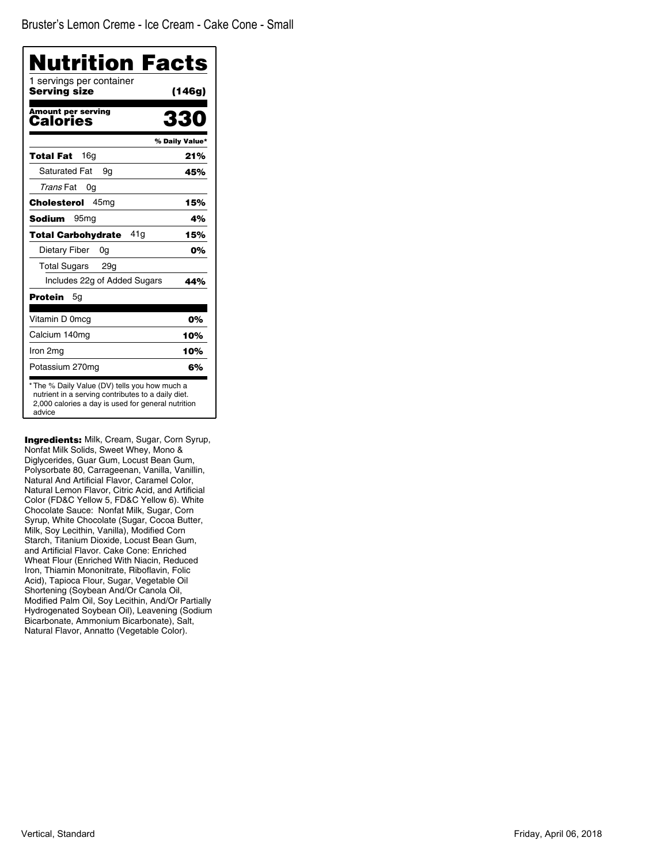| Nutrition Facts<br>1 servings per container |                |
|---------------------------------------------|----------------|
| Serving size                                | (146g)         |
| <b>Amount per serving</b><br>Calories       | 330            |
|                                             | % Daily Value* |
| 16g<br>Total Fat                            | 21%            |
| <b>Saturated Fat</b><br>9g                  | 45%            |
| Trans Fat<br>0g                             |                |
| 45 <sub>mq</sub><br>Cholesterol             | 15%            |
| Sodium<br>95 <sub>mq</sub>                  | 4%             |
| 41 a<br><b>Total Carbohydrate</b>           | 15%            |
| Dietary Fiber<br>0g                         | 0%             |
| <b>Total Sugars</b><br>29 <sub>g</sub>      |                |
| Includes 22g of Added Sugars                | 44%            |
| Protein<br>5g                               |                |
| Vitamin D 0mcg                              | 0%             |
| Calcium 140mg                               | 10%            |
| Iron 2mg                                    | 10%            |
| Potassium 270mg                             | 6%             |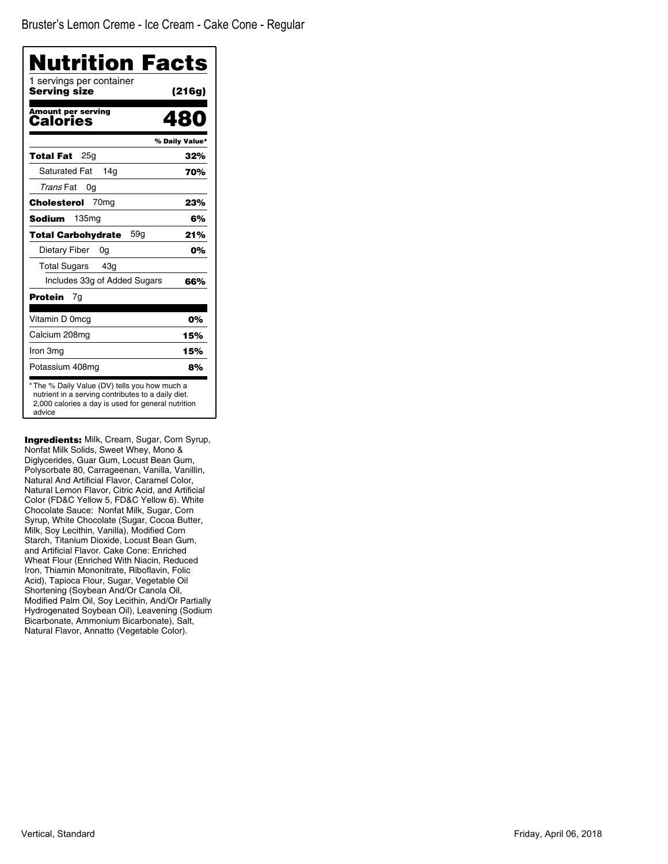| Nutrition Facts<br>1 servings per container<br>Serving size | (216g)         |
|-------------------------------------------------------------|----------------|
|                                                             |                |
| <b>Amount per serving</b><br>Calories                       | 480            |
|                                                             | % Daily Value* |
| 25 <sub>q</sub><br>Total Fat                                | 32%            |
| <b>Saturated Fat</b><br>14a                                 | 70%            |
| Trans Fat<br>0g                                             |                |
| Cholesterol<br>70 <sub>mq</sub>                             | 23%            |
| 135 <sub>mq</sub><br>Sodium                                 | 6%             |
| 59g<br><b>Total Carbohydrate</b>                            | 21%            |
| Dietary Fiber<br>0g                                         | 0%             |
| <b>Total Sugars</b><br>43a                                  |                |
| Includes 33g of Added Sugars                                | 66%            |
| <b>Protein</b><br>7g                                        |                |
| Vitamin D 0mcg                                              | 0%             |
| Calcium 208mg                                               | 15%            |
| Iron 3mg                                                    | 15%            |
| Potassium 408mg                                             | 8%             |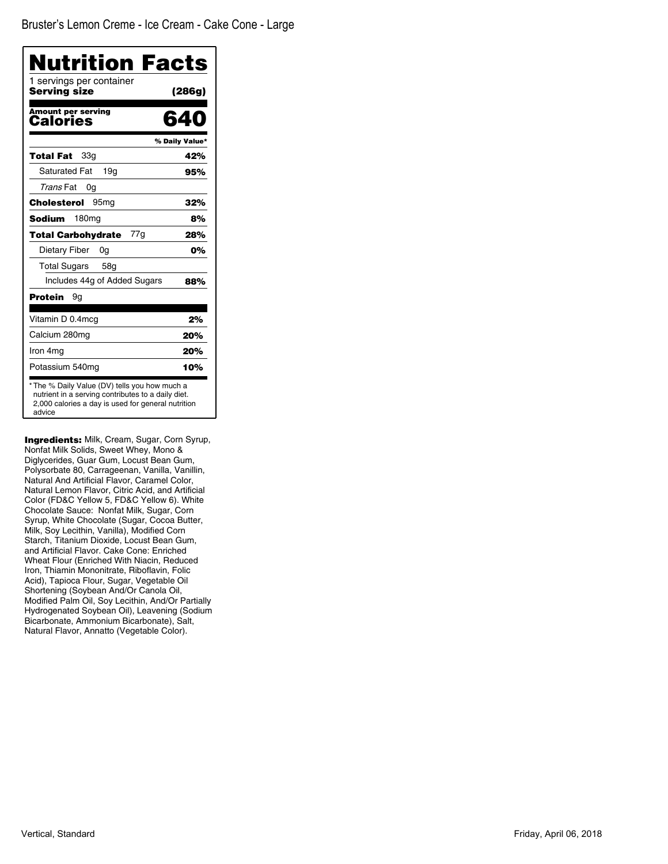| <b>Nutrition Facts</b>                   |                |
|------------------------------------------|----------------|
| 1 servings per container<br>Serving size | (286g)         |
| <b>Amount per serving</b><br>Calories    | 640            |
|                                          | % Daily Value* |
| 33a<br>Total Fat                         | 42%            |
| <b>Saturated Fat</b><br>19a              | 95%            |
| Trans Fat<br>0g                          |                |
| Cholesterol<br>95 <sub>mq</sub>          | 32%            |
| <b>Sodium</b><br>180mg                   | 8%             |
| 77g<br>Total Carbohydrate                | 28%            |
| Dietary Fiber<br>0g                      | 0%             |
| Total Sugars<br>58a                      |                |
| Includes 44g of Added Sugars             | 88%            |
| Protein<br>9g                            |                |
| Vitamin D 0.4mcg                         | 2%             |
| Calcium 280mg                            | 20%            |
| Iron 4mg                                 | 20%            |
| Potassium 540mg                          | 10%            |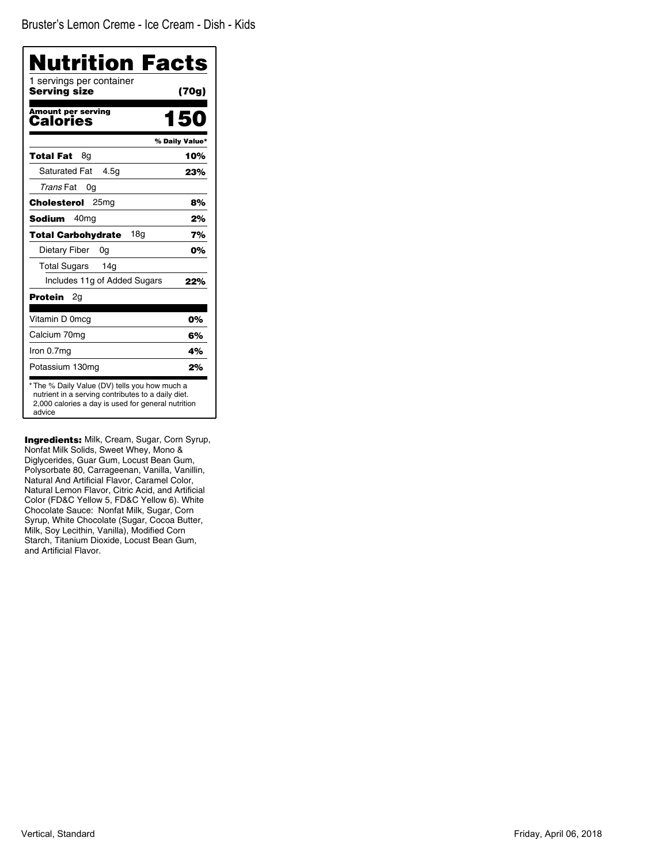| Nutrition Facts                              |                |
|----------------------------------------------|----------------|
| 1 servings per container<br>Serving size     | (70g)          |
| <b>Amount per serving</b><br>Calories        | 150            |
|                                              | % Daily Value* |
| Total Fat<br>8g                              | 10%            |
| <b>Saturated Fat</b><br>4.5q                 | 23%            |
| Trans Fat<br>0g                              |                |
| 25mg<br>Cholesterol                          | 8%             |
| <b>Sodium</b><br>40 <sub>mq</sub>            | 2%             |
| 18 <sub>q</sub><br><b>Total Carbohydrate</b> | 7%             |
| Dietary Fiber<br>0g                          | 0%             |
| <b>Total Sugars</b><br>14 <sub>q</sub>       |                |
| Includes 11g of Added Sugars                 | 22%            |
| Protein<br>2g                                |                |
| Vitamin D 0mcg                               | 0%             |
| Calcium 70mg                                 | 6%             |
| Iron 0.7mg                                   | 4%             |
| Potassium 130mg                              | 2%             |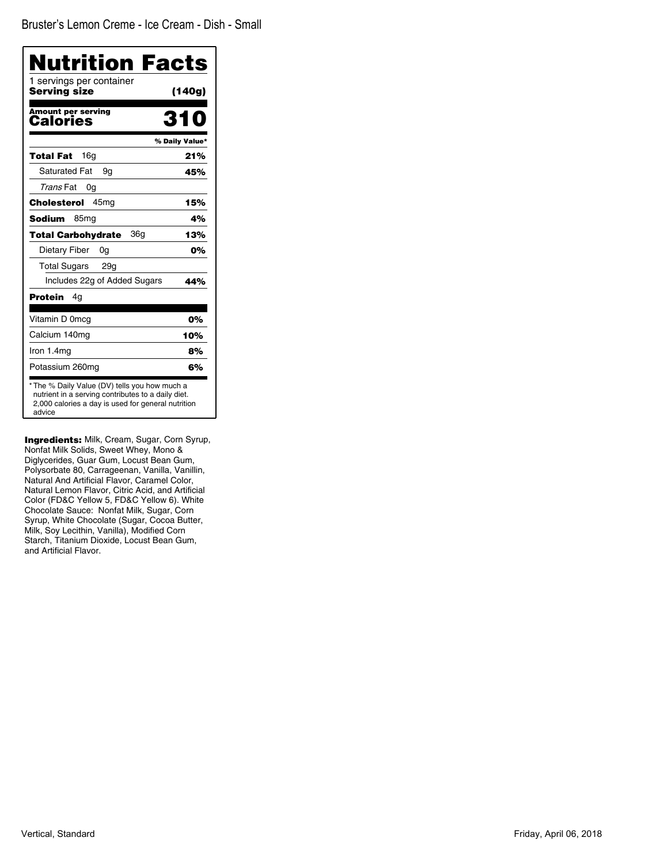| 1 servings per container<br>Serving size | Nutrition Facts<br>(140g) |
|------------------------------------------|---------------------------|
|                                          |                           |
| <b>Amount per serving</b><br>Calories    |                           |
|                                          | % Daily Value*            |
| 16q<br>Total Fat                         | 21%                       |
| <b>Saturated Fat</b><br>9g               | 45%                       |
| Trans Fat<br>0g                          |                           |
| Cholesterol<br>45 <sub>mq</sub>          | 15%                       |
| Sodium<br>85 <sub>mg</sub>               | 4%                        |
| 36g<br><b>Total Carbohydrate</b>         | 13%                       |
| Dietary Fiber<br>0g                      | 0%                        |
| <b>Total Sugars</b><br>29q               |                           |
| Includes 22g of Added Sugars             | 44%                       |
| Protein<br>4q                            |                           |
| Vitamin D 0mcg                           | 0%                        |
| Calcium 140mg                            | 10%                       |
| Iron 1.4mg                               | 8%                        |
| Potassium 260mg                          | 6%                        |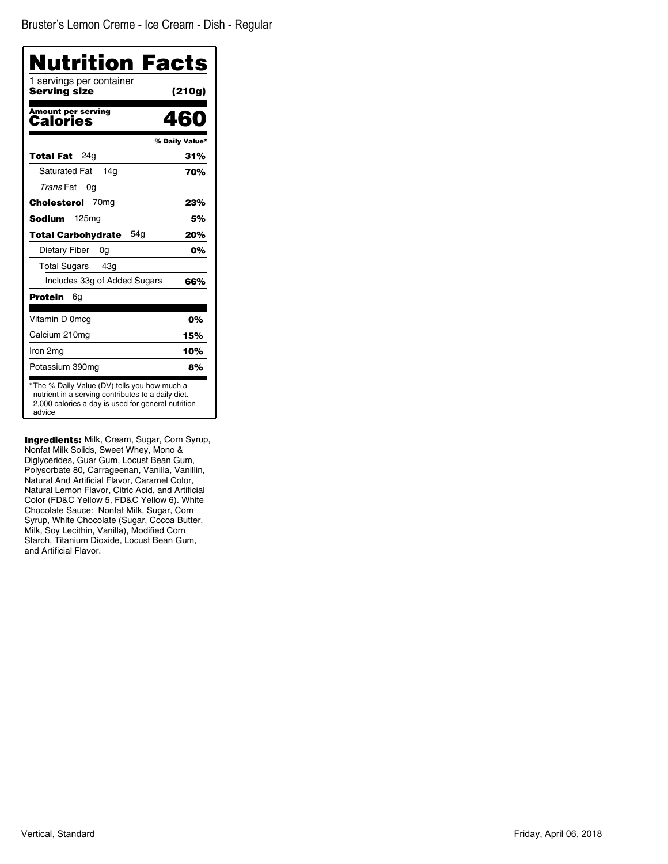| Nutrition Facts                                                                                                                                                     |                |
|---------------------------------------------------------------------------------------------------------------------------------------------------------------------|----------------|
| 1 servings per container<br>Serving size                                                                                                                            | (210g)         |
| <b>Amount per serving</b><br>Calories                                                                                                                               | 460            |
|                                                                                                                                                                     | % Daily Value* |
| 24q<br><b>Total Fat</b>                                                                                                                                             | 31%            |
| <b>Saturated Fat</b><br>14g                                                                                                                                         | 70%            |
| Trans Fat<br>0g                                                                                                                                                     |                |
| Cholesterol<br>70 <sub>mq</sub>                                                                                                                                     | 23%            |
| <b>Sodium</b><br>125 <sub>mg</sub>                                                                                                                                  | 5%             |
| 54a<br>Total Carbohydrate                                                                                                                                           | 20%            |
| Dietary Fiber<br>0g                                                                                                                                                 | 0%             |
| <b>Total Sugars</b><br>43q                                                                                                                                          |                |
| Includes 33g of Added Sugars                                                                                                                                        | 66%            |
| Protein<br>6g                                                                                                                                                       |                |
| Vitamin D 0mcg                                                                                                                                                      | 0%             |
| Calcium 210mg                                                                                                                                                       | 15%            |
| Iron 2mg                                                                                                                                                            | 10%            |
| Potassium 390mg                                                                                                                                                     | 8%             |
| * The % Daily Value (DV) tells you how much a<br>nutrient in a serving contributes to a daily diet.<br>2,000 calories a day is used for general nutrition<br>advice |                |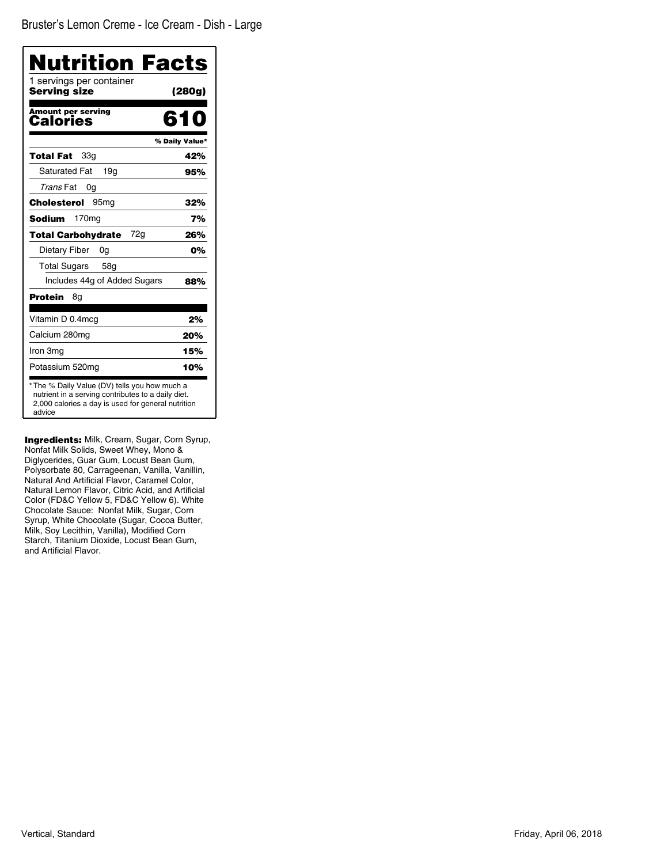| Nutrition Facts                                                                                                                                                     |                |
|---------------------------------------------------------------------------------------------------------------------------------------------------------------------|----------------|
| 1 servings per container<br>Serving size                                                                                                                            | (280g)         |
| <b>Amount per serving</b><br>Calories                                                                                                                               | 610            |
|                                                                                                                                                                     | % Daily Value* |
| Total Fat<br>33g                                                                                                                                                    | 42%            |
| <b>Saturated Fat</b><br>19a                                                                                                                                         | 95%            |
| Trans Fat<br>0a                                                                                                                                                     |                |
| Cholesterol<br>95 <sub>mg</sub>                                                                                                                                     | 32%            |
| <b>Sodium</b><br>170 <sub>mg</sub>                                                                                                                                  | 7%             |
| 72a<br><b>Total Carbohydrate</b>                                                                                                                                    | 26%            |
| Dietary Fiber<br>0g                                                                                                                                                 | 0%             |
| <b>Total Sugars</b><br>58g                                                                                                                                          |                |
| Includes 44g of Added Sugars                                                                                                                                        | 88%            |
| Protein<br>8g                                                                                                                                                       |                |
| Vitamin D 0.4mcg                                                                                                                                                    | 2%             |
| Calcium 280mg                                                                                                                                                       | 20%            |
| Iron 3mg                                                                                                                                                            | 15%            |
| Potassium 520mg                                                                                                                                                     | 10%            |
| * The % Daily Value (DV) tells you how much a<br>nutrient in a serving contributes to a daily diet.<br>2,000 calories a day is used for general nutrition<br>advice |                |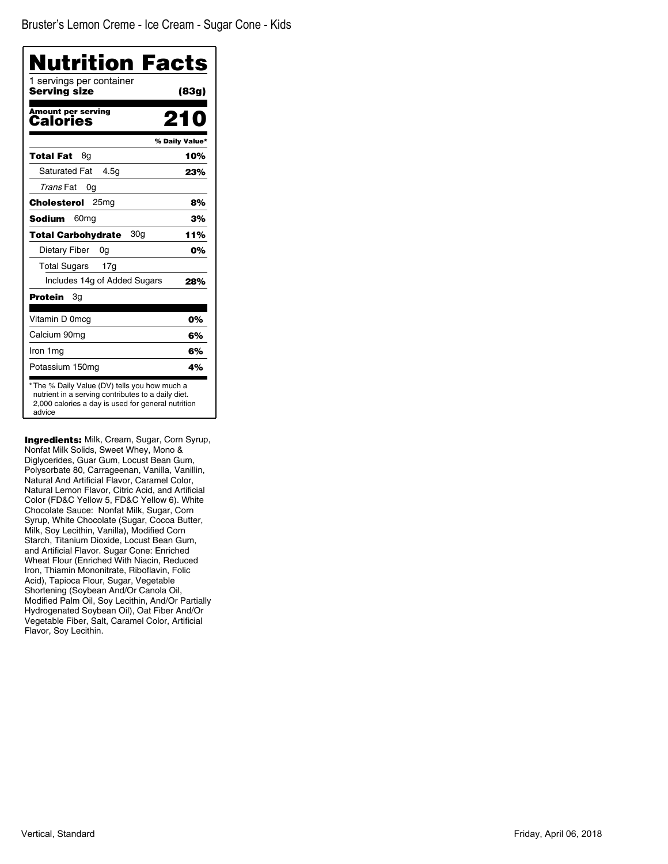| Nutrition Facts<br>1 servings per container<br>Serving size | (83g)          |
|-------------------------------------------------------------|----------------|
| <b>Amount per serving</b><br>Calories                       | 210            |
|                                                             | % Daily Value* |
| Total Fat<br>8q                                             | 10%            |
| <b>Saturated Fat</b><br>4.5q                                | 23%            |
| Trans Fat<br>0g                                             |                |
| Cholesterol<br>25 <sub>mq</sub>                             | 8%             |
| 60 <sub>mg</sub><br>Sodium                                  | 3%             |
| 30a<br><b>Total Carbohydrate</b>                            | 11%            |
| Dietary Fiber<br>0g                                         | 0%             |
| <b>Total Sugars</b><br>17g                                  |                |
| Includes 14g of Added Sugars                                | 28%            |
| Зg<br>Protein                                               |                |
| Vitamin D 0mcg                                              | 0%             |
| Calcium 90mg                                                | 6%             |
| Iron 1mg                                                    | 6%             |
| Potassium 150mg                                             | 4%             |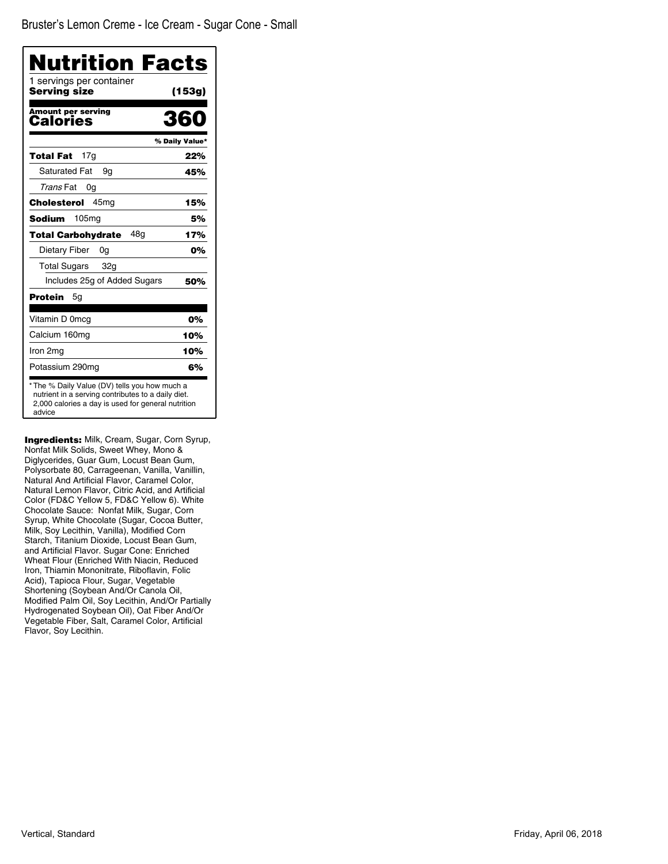| 1 servings per container<br>Serving size | (153g)         |
|------------------------------------------|----------------|
| <b>Amount per serving</b><br>Calories    | 360            |
|                                          | % Daily Value* |
| 17 <sub>q</sub><br>Total Fat             | 22%            |
| <b>Saturated Fat</b><br>9g               | 45%            |
| Trans Fat<br>0g                          |                |
| 45 <sub>mg</sub><br>Cholesterol          | 15%            |
| Sodium<br>105 <sub>mg</sub>              | 5%             |
| 48a<br><b>Total Carbohydrate</b>         | 17%            |
| Dietary Fiber<br>0a                      | 0%             |
| <b>Total Sugars</b><br>32 <sub>g</sub>   |                |
| Includes 25g of Added Sugars             | 50%            |
| Protein<br>5g                            |                |
| Vitamin D 0mcg                           | 0%             |
| Calcium 160mg                            | 10%            |
| Iron 2mg                                 | 10%            |
| Potassium 290mg                          | 6%             |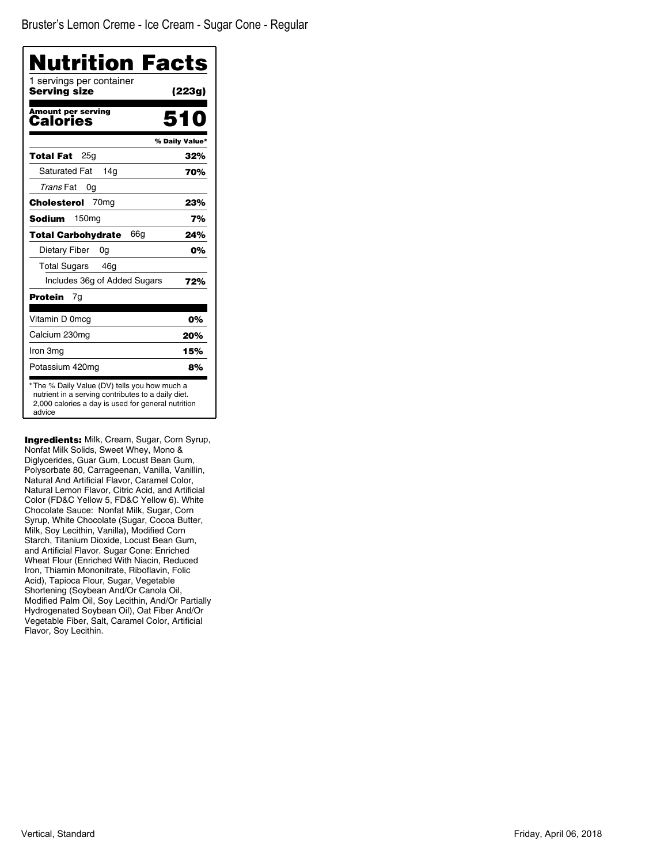Bruster's Lemon Creme - Ice Cream - Sugar Cone - Regular

| <b>Nutrition Facts</b>                   |                |
|------------------------------------------|----------------|
| 1 servings per container<br>Serving size | (223g)         |
| <b>Amount per serving</b><br>Calories    | 51 N           |
|                                          | % Daily Value* |
| 25a<br>Total Fat                         | 32%            |
| <b>Saturated Fat</b><br>14a              | 70%            |
| Trans Fat<br>0g                          |                |
| 70 <sub>mg</sub><br>Cholesterol          | 23%            |
| <b>Sodium</b><br>150 <sub>mg</sub>       | 7%             |
| 66g<br><b>Total Carbohvdrate</b>         | 24%            |
| Dietary Fiber<br>0g                      | 0%             |
| <b>Total Sugars</b><br>46 <sub>g</sub>   |                |
| Includes 36g of Added Sugars             | 72%            |
| Protein<br>7g                            |                |
| Vitamin D 0mcg                           | 0%             |
| Calcium 230mg                            | 20%            |
| Iron 3mg                                 | 15%            |
| Potassium 420mg                          | 8%             |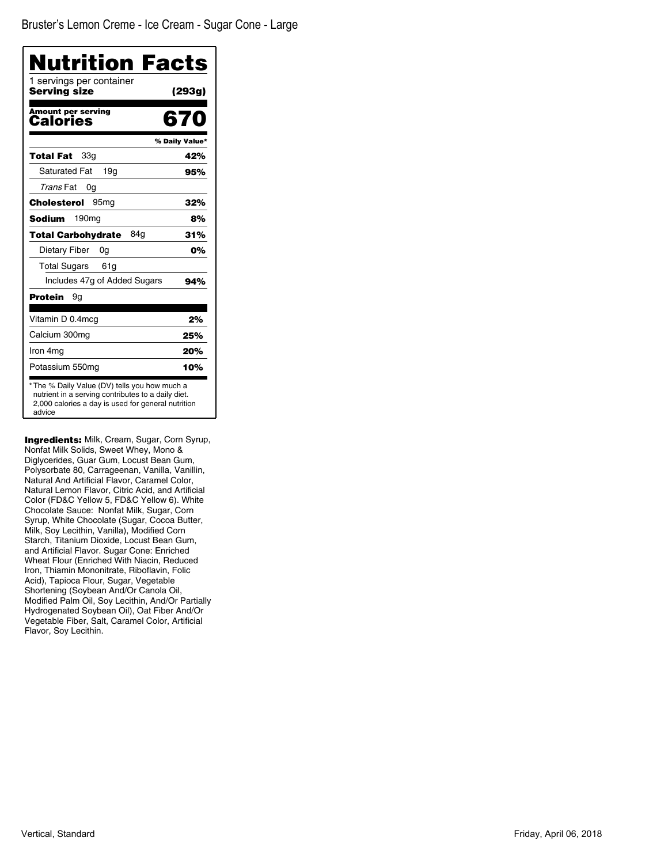| Nutrition Facts<br>1 servings per container |                |
|---------------------------------------------|----------------|
| Serving size                                | (293g)         |
| <b>Amount per serving</b><br>Calories       | 670            |
|                                             | % Daily Value* |
| 33a<br>Total Fat                            | 42%            |
| <b>Saturated Fat</b><br>19q                 | 95%            |
| Trans Fat<br>0g                             |                |
| Cholesterol<br>95 <sub>mq</sub>             | 32%            |
| 190 <sub>mg</sub><br>Sodium                 | 8%             |
| 84a<br><b>Total Carbohydrate</b>            | 31%            |
| Dietary Fiber<br>0a                         | 0%             |
| <b>Total Sugars</b><br>61g                  |                |
| Includes 47g of Added Sugars                | 94%            |
| <b>Protein</b><br>9g                        |                |
| Vitamin D 0.4mcg                            | 2%             |
| Calcium 300mg                               | 25%            |
| Iron 4mg                                    | 20%            |
| Potassium 550mg                             | 10%            |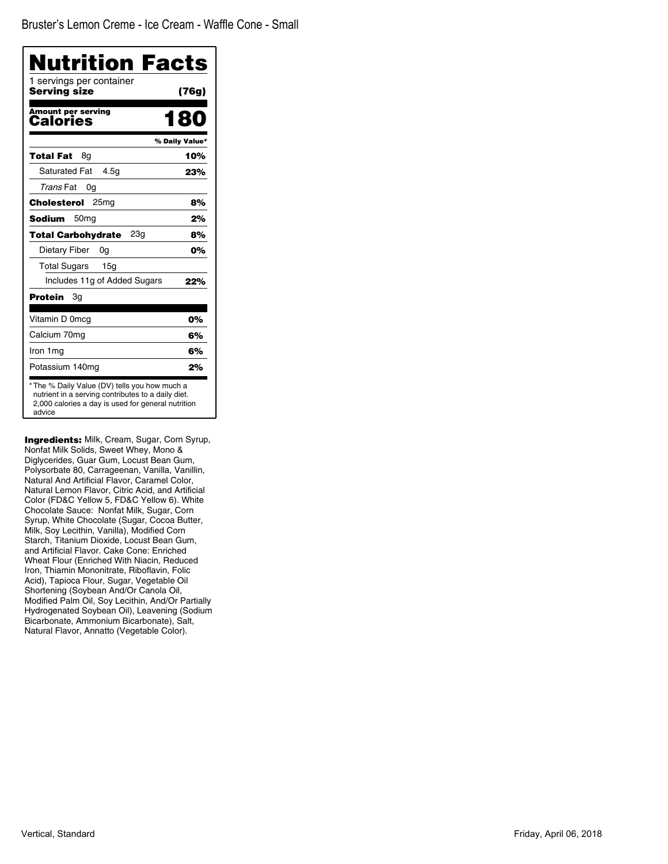| Nutrition Facts                              |                |
|----------------------------------------------|----------------|
| 1 servings per container<br>Serving size     | (76g)          |
| <b>Amount per serving</b><br>Calories        | 180            |
|                                              | % Daily Value* |
| Total Fat<br>8g                              | 10%            |
| <b>Saturated Fat</b><br>4.5g                 | 23%            |
| Trans Fat<br>0g                              |                |
| Cholesterol<br>25 <sub>mg</sub>              | 8%             |
| Sodium<br>50 <sub>mg</sub>                   | 2%             |
| 23 <sub>q</sub><br><b>Total Carbohydrate</b> | 8%             |
| Dietary Fiber<br>0g                          | 0%             |
| <b>Total Sugars</b><br>15g                   |                |
| Includes 11g of Added Sugars                 | 22%            |
| Protein<br>Зg                                |                |
| Vitamin D 0mcg                               | 0%             |
| Calcium 70mg                                 | 6%             |
| Iron 1mg                                     | 6%             |
| Potassium 140mg                              | 2%             |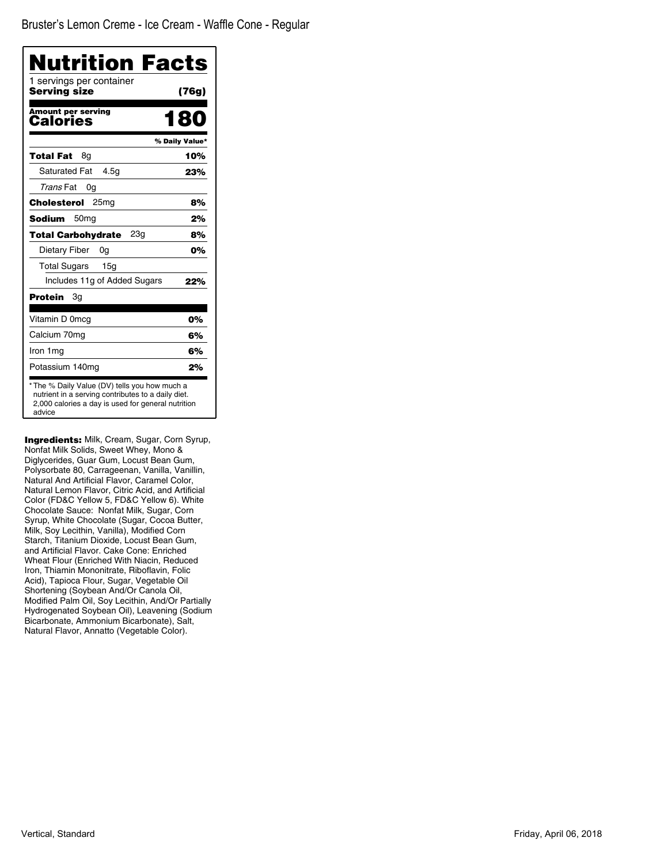| 1 servings per container<br>Serving size | (76g)          |
|------------------------------------------|----------------|
| <b>Amount per serving</b><br>Calories    | 180            |
|                                          | % Daily Value* |
| Total Fat<br>8q                          | 10%            |
| <b>Saturated Fat</b><br>4.5q             | 23%            |
| Trans Fat<br>0g                          |                |
| Cholesterol<br>25 <sub>mq</sub>          | 8%             |
| Sodium<br>50 <sub>mg</sub>               | 2%             |
| 23a<br><b>Total Carbohydrate</b>         | 8%             |
| Dietary Fiber<br>0g                      | 0%             |
| <b>Total Sugars</b><br>15g               |                |
| Includes 11g of Added Sugars             | 22%            |
| Protein<br>Зg                            |                |
| Vitamin D 0mcg                           | 0%             |
| Calcium 70mg                             | 6%             |
| Iron 1mg                                 | 6%             |
| Potassium 140mg                          | 2%             |